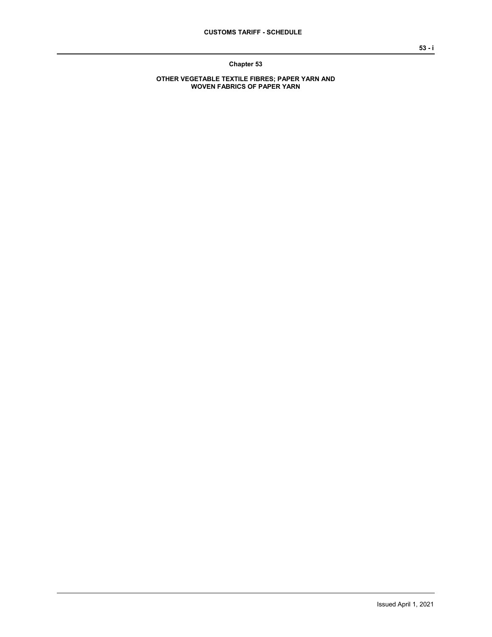**Chapter 53**

## **OTHER VEGETABLE TEXTILE FIBRES; PAPER YARN AND WOVEN FABRICS OF PAPER YARN**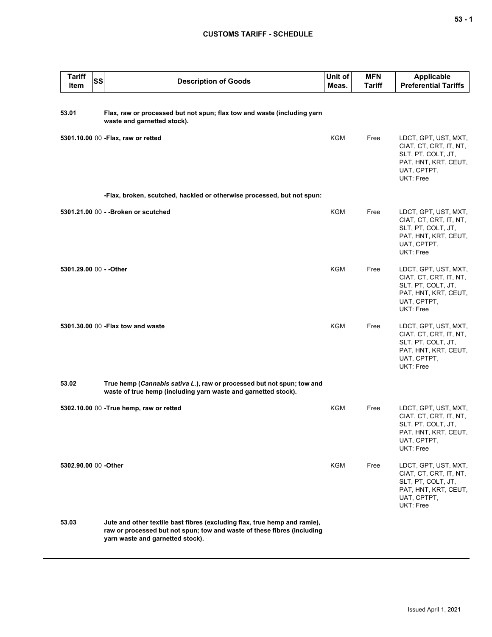## **CUSTOMS TARIFF - SCHEDULE**

| <b>Tariff</b><br>Item   | <b>SS</b> | <b>Description of Goods</b>                                                                                                                                                              | Unit of<br>Meas. | <b>MFN</b><br>Tariff | <b>Applicable</b><br><b>Preferential Tariffs</b>                                                                         |
|-------------------------|-----------|------------------------------------------------------------------------------------------------------------------------------------------------------------------------------------------|------------------|----------------------|--------------------------------------------------------------------------------------------------------------------------|
| 53.01                   |           | Flax, raw or processed but not spun; flax tow and waste (including yarn<br>waste and garnetted stock).                                                                                   |                  |                      |                                                                                                                          |
|                         |           | 5301.10.00 00 - Flax, raw or retted                                                                                                                                                      | <b>KGM</b>       | Free                 | LDCT, GPT, UST, MXT,<br>CIAT, CT, CRT, IT, NT,<br>SLT, PT, COLT, JT,<br>PAT, HNT, KRT, CEUT,<br>UAT, CPTPT,<br>UKT: Free |
|                         |           | -Flax, broken, scutched, hackled or otherwise processed, but not spun:                                                                                                                   |                  |                      |                                                                                                                          |
|                         |           | 5301.21.00 00 - - Broken or scutched                                                                                                                                                     | KGM              | Free                 | LDCT, GPT, UST, MXT,<br>CIAT, CT, CRT, IT, NT,<br>SLT, PT, COLT, JT,<br>PAT, HNT, KRT, CEUT,<br>UAT, CPTPT,<br>UKT: Free |
| 5301.29.00 00 - - Other |           |                                                                                                                                                                                          | <b>KGM</b>       | Free                 | LDCT, GPT, UST, MXT,<br>CIAT, CT, CRT, IT, NT,<br>SLT, PT, COLT, JT,<br>PAT, HNT, KRT, CEUT,<br>UAT, CPTPT,<br>UKT: Free |
|                         |           | 5301.30.00 00 - Flax tow and waste                                                                                                                                                       | <b>KGM</b>       | Free                 | LDCT, GPT, UST, MXT,<br>CIAT, CT, CRT, IT, NT,<br>SLT, PT, COLT, JT,<br>PAT, HNT, KRT, CEUT,<br>UAT, CPTPT,<br>UKT: Free |
| 53.02                   |           | True hemp (Cannabis sativa L.), raw or processed but not spun; tow and<br>waste of true hemp (including yarn waste and garnetted stock).                                                 |                  |                      |                                                                                                                          |
|                         |           | 5302.10.00 00 -True hemp, raw or retted                                                                                                                                                  | <b>KGM</b>       | Free                 | LDCT, GPT, UST, MXT,<br>CIAT, CT, CRT, IT, NT,<br>SLT, PT, COLT, JT,<br>PAT, HNT, KRT, CEUT,<br>UAT, CPTPT,<br>UKT: Free |
| 5302.90.00 00 -Other    |           |                                                                                                                                                                                          | KGM              | Free                 | LDCT, GPT, UST, MXT,<br>CIAT, CT, CRT, IT, NT,<br>SLT, PT, COLT, JT,<br>PAT, HNT, KRT, CEUT,<br>UAT, CPTPT,<br>UKT: Free |
| 53.03                   |           | Jute and other textile bast fibres (excluding flax, true hemp and ramie),<br>raw or processed but not spun; tow and waste of these fibres (including<br>yarn waste and garnetted stock). |                  |                      |                                                                                                                          |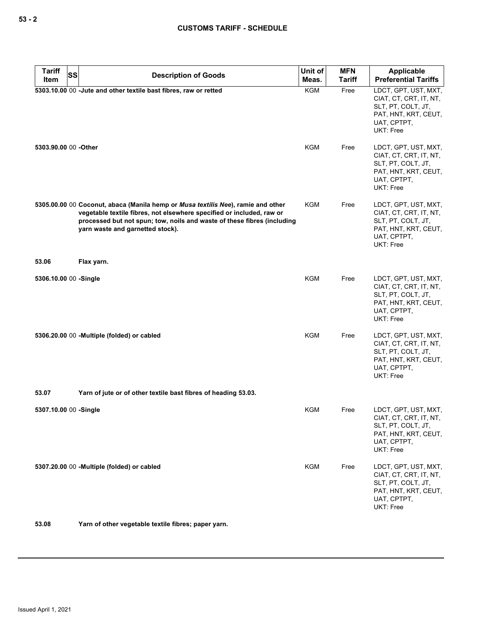| <b>Tariff</b><br>Item | SS | <b>Description of Goods</b>                                                                                                                                                                                                                                              | Unit of<br>Meas. | <b>MFN</b><br><b>Tariff</b> | Applicable<br><b>Preferential Tariffs</b>                                                                                |
|-----------------------|----|--------------------------------------------------------------------------------------------------------------------------------------------------------------------------------------------------------------------------------------------------------------------------|------------------|-----------------------------|--------------------------------------------------------------------------------------------------------------------------|
|                       |    | 5303.10.00 00 -Jute and other textile bast fibres, raw or retted                                                                                                                                                                                                         | <b>KGM</b>       | Free                        | LDCT, GPT, UST, MXT,<br>CIAT, CT, CRT, IT, NT,<br>SLT, PT, COLT, JT,<br>PAT, HNT, KRT, CEUT,<br>UAT, CPTPT,<br>UKT: Free |
| 5303.90.00 00 - Other |    |                                                                                                                                                                                                                                                                          | KGM              | Free                        | LDCT, GPT, UST, MXT,<br>CIAT, CT, CRT, IT, NT,<br>SLT, PT, COLT, JT,<br>PAT, HNT, KRT, CEUT,<br>UAT, CPTPT,<br>UKT: Free |
|                       |    | 5305.00.00 00 Coconut, abaca (Manila hemp or Musa textilis Nee), ramie and other<br>vegetable textile fibres, not elsewhere specified or included, raw or<br>processed but not spun; tow, noils and waste of these fibres (including<br>yarn waste and garnetted stock). | KGM              | Free                        | LDCT, GPT, UST, MXT,<br>CIAT, CT, CRT, IT, NT,<br>SLT, PT, COLT, JT,<br>PAT, HNT, KRT, CEUT,<br>UAT, CPTPT,<br>UKT: Free |
| 53.06                 |    | Flax yarn.                                                                                                                                                                                                                                                               |                  |                             |                                                                                                                          |
| 5306.10.00 00 -Single |    |                                                                                                                                                                                                                                                                          | <b>KGM</b>       | Free                        | LDCT, GPT, UST, MXT,<br>CIAT, CT, CRT, IT, NT,<br>SLT, PT, COLT, JT,<br>PAT, HNT, KRT, CEUT,<br>UAT, CPTPT,<br>UKT: Free |
|                       |    | 5306.20.00 00 -Multiple (folded) or cabled                                                                                                                                                                                                                               | KGM              | Free                        | LDCT, GPT, UST, MXT,<br>CIAT, CT, CRT, IT, NT,<br>SLT, PT, COLT, JT,<br>PAT, HNT, KRT, CEUT,<br>UAT, CPTPT,<br>UKT: Free |
| 53.07                 |    | Yarn of jute or of other textile bast fibres of heading 53.03.                                                                                                                                                                                                           |                  |                             |                                                                                                                          |
| 5307.10.00 00 -Single |    |                                                                                                                                                                                                                                                                          | <b>KGM</b>       | Free                        | LDCT, GPT, UST, MXT,<br>CIAT, CT, CRT, IT, NT,<br>SLT, PT, COLT, JT,<br>PAT, HNT, KRT, CEUT,<br>UAT, CPTPT,<br>UKT: Free |
|                       |    | 5307.20.00 00 -Multiple (folded) or cabled                                                                                                                                                                                                                               | <b>KGM</b>       | Free                        | LDCT, GPT, UST, MXT,<br>CIAT, CT, CRT, IT, NT,<br>SLT, PT, COLT, JT,<br>PAT, HNT, KRT, CEUT,<br>UAT, CPTPT,<br>UKT: Free |

**53.08 Yarn of other vegetable textile fibres; paper yarn.**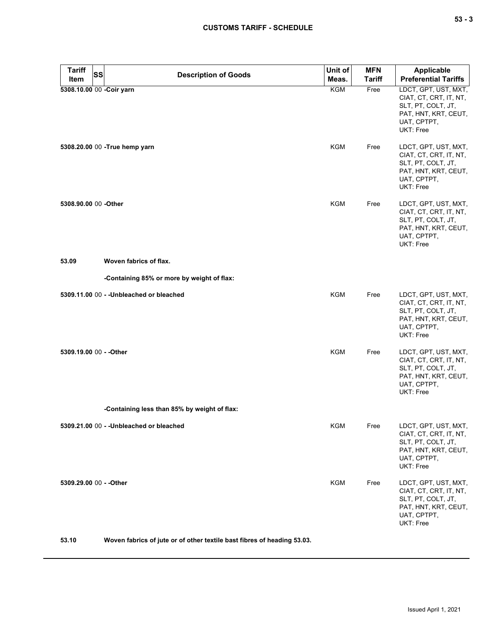| $\sim$<br>$\overline{\phantom{a}}$ |  | $\overline{\phantom{a}}$ |
|------------------------------------|--|--------------------------|
|------------------------------------|--|--------------------------|

| <b>Tariff</b>            | <b>SS</b> | <b>Description of Goods</b>                                             | Unit of    | <b>MFN</b>    | <b>Applicable</b>                                                                                                        |
|--------------------------|-----------|-------------------------------------------------------------------------|------------|---------------|--------------------------------------------------------------------------------------------------------------------------|
| Item                     |           |                                                                         | Meas.      | <b>Tariff</b> | <b>Preferential Tariffs</b>                                                                                              |
| 5308.10.00 00 -Coir yarn |           |                                                                         | <b>KGM</b> | Free          | LDCT, GPT, UST, MXT,<br>CIAT, CT, CRT, IT, NT,<br>SLT, PT, COLT, JT,<br>PAT, HNT, KRT, CEUT,<br>UAT, CPTPT,<br>UKT: Free |
|                          |           | 5308.20.00 00 - True hemp yarn                                          | <b>KGM</b> | Free          | LDCT, GPT, UST, MXT,<br>CIAT, CT, CRT, IT, NT,<br>SLT, PT, COLT, JT,<br>PAT, HNT, KRT, CEUT,<br>UAT, CPTPT,<br>UKT: Free |
| 5308.90.00 00 -Other     |           |                                                                         | <b>KGM</b> | Free          | LDCT, GPT, UST, MXT,<br>CIAT, CT, CRT, IT, NT,<br>SLT, PT, COLT, JT,<br>PAT, HNT, KRT, CEUT,<br>UAT, CPTPT,<br>UKT: Free |
| 53.09                    |           | Woven fabrics of flax.                                                  |            |               |                                                                                                                          |
|                          |           | -Containing 85% or more by weight of flax:                              |            |               |                                                                                                                          |
|                          |           | 5309.11.00 00 - - Unbleached or bleached                                | <b>KGM</b> | Free          | LDCT, GPT, UST, MXT,<br>CIAT, CT, CRT, IT, NT,<br>SLT, PT, COLT, JT,<br>PAT, HNT, KRT, CEUT,<br>UAT, CPTPT,<br>UKT: Free |
| 5309.19.00 00 - - Other  |           |                                                                         | <b>KGM</b> | Free          | LDCT, GPT, UST, MXT,<br>CIAT, CT, CRT, IT, NT,<br>SLT, PT, COLT, JT,<br>PAT, HNT, KRT, CEUT,<br>UAT, CPTPT,<br>UKT: Free |
|                          |           | -Containing less than 85% by weight of flax:                            |            |               |                                                                                                                          |
|                          |           | 5309.21.00 00 - - Unbleached or bleached                                | KGM        | Free          | LDCT, GPT, UST, MXT,<br>CIAT, CT, CRT, IT, NT,<br>SLT, PT, COLT, JT,<br>PAT, HNT, KRT, CEUT,<br>UAT, CPTPT,<br>UKT: Free |
| 5309.29.00 00 - - Other  |           |                                                                         | KGM        | Free          | LDCT, GPT, UST, MXT,<br>CIAT, CT, CRT, IT, NT,<br>SLT, PT, COLT, JT,<br>PAT, HNT, KRT, CEUT,<br>UAT, CPTPT,<br>UKT: Free |
| 53.10                    |           | Woven fabrics of jute or of other textile bast fibres of heading 53.03. |            |               |                                                                                                                          |